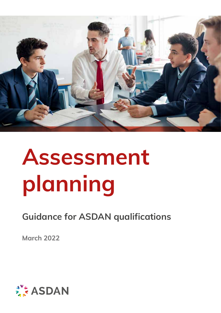

# **Assessment planning**

**Guidance for ASDAN qualifications**

**March 2022**

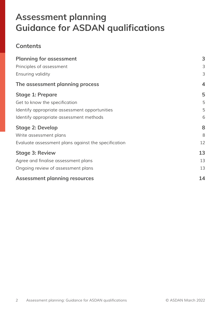# **Assessment planning Guidance for ASDAN qualifications**

#### **Contents**

| <b>Planning for assessment</b>                      | 3                       |
|-----------------------------------------------------|-------------------------|
| Principles of assessment                            | 3                       |
| <b>Ensuring validity</b>                            | 3                       |
| The assessment planning process                     | $\overline{\mathbf{4}}$ |
| <b>Stage 1: Prepare</b>                             | 5                       |
| Get to know the specification                       | 5                       |
| Identify appropriate assessment opportunities       | 5                       |
| Identify appropriate assessment methods             | 6                       |
| <b>Stage 2: Develop</b>                             | 8                       |
| Write assessment plans                              | 8                       |
| Evaluate assessment plans against the specification | 12                      |
| <b>Stage 3: Review</b>                              | 13                      |
| Agree and finalise assessment plans                 | 13                      |
| Ongoing review of assessment plans                  | 13                      |
| <b>Assessment planning resources</b>                | 14                      |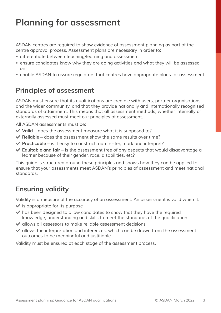# **Planning for assessment**

*ASDAN centres are required to show evidence of assessment planning as part of the centre approval process. Assessment plans are necessary in order to:*

- *• differentiate between teaching/learning and assessment*
- *• ensure candidates know why they are doing activities and what they will be assessed on*
- *• enable ASDAN to assure regulators that centres have appropriate plans for assessment*

## **Principles of assessment**

ASDAN must ensure that its qualifications are credible with users, partner organisations and the wider community, and that they provide nationally and internationally recognised standards of attainment. This means that all assessment methods, whether internally or *externally assessed must meet our principles of assessment.* 

*All ASDAN assessments must be:*

- ◆ Valid does the assessment measure what it is supposed to?
- ◆ Reliable does the assessment show the same results over time?
- **► Practicable** is it easy to construct, administer, mark and interpret?
- ◆ **Equitable and fair** is the assessment free of any aspects that would disadvantage a learner because of their gender, race, disabilities, etc?

*This guide is structured around these principles and shows how they can be applied to ensure that your assessments meet ASDAN's principles of assessment and meet national standards.*

## **Ensuring validity**

*Validity is a measure of the accuracy of an assessment. An assessment is valid when it:*

n *is appropriate for its purpose*

- $\blacktriangleright$  has been designed to allow candidates to show that they have the required knowledge, understanding and skills to meet the standards of the qualification
- ◆ allows all assessors to make reliable assessment decisions
- $\blacktriangleright$  allows the interpretation and inferences, which can be drawn from the assessment outcomes to be meaningful and justifiable

*Validity must be ensured at each stage of the assessment process.*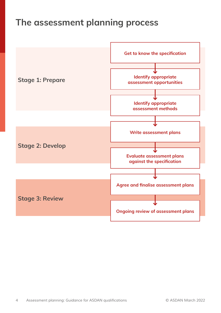# **The assessment planning process**

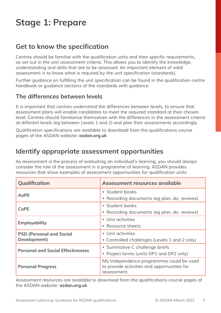# **Stage 1: Prepare**

## **Get to know the specification**

Centres should be familiar with the qualification units and their specific requirements, as set out in the unit assessment criteria. This allows you to identify the knowledge, *understanding and skills that are to be assessed. An important element of valid*  assessment is to know what is required by the unit specification (standards).

Further guidance on fulfilling the unit specification can be found in the qualification centre *handbook or guidance sections of the standards with guidance.*

#### **The differences between levels**

It is important that centres understand the differences between levels, to ensure that *assessment plans will enable candidates to meet the required standard at their chosen level. Centres should familiarise themselves with the differences in the assessment criteria*  at different levels (eg between Levels 1 and 2) and plan their assessments accordingly.

Qualification specifications are available to download from the qualifications course *pages of the ASDAN website:* **asdan.org.uk** 

## **Identify appropriate assessment opportunities**

As assessment is the process of evaluating an individual's learning, you should always *consider the role of the assessment in a programme of learning. ASDAN provides*  resources that show examples of assessment opportunities for qualification units:

| Qualification                            | Assessment resources available                                                                         |
|------------------------------------------|--------------------------------------------------------------------------------------------------------|
| <b>AoPE</b>                              | • Student books                                                                                        |
|                                          | • Recording documents (eg plan, do, reviews)                                                           |
| <b>CoPE</b>                              | • Student books                                                                                        |
|                                          | • Recording documents (eg plan, do, reviews)                                                           |
|                                          | • Unit activities                                                                                      |
| <b>Employability</b>                     | Resource sheets                                                                                        |
| <b>PSD (Personal and Social</b>          | • Unit activities                                                                                      |
| Development)                             | • Controlled challenges (Levels 1 and 2 only)                                                          |
|                                          | • Summative C challenge briefs                                                                         |
| <b>Personal and Social Effectiveness</b> | • Project forms (units DP1 and DP2 only)                                                               |
| <b>Personal Progress</b>                 | My Independence programmes could be used<br>to provide activities and opportunities for<br>assessment. |

Assessment resources are available to download from the qualifications course pages of *the ASDAN website:* **asdan.org.uk**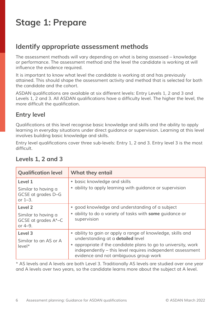# **Stage 1: Prepare**

## **Identify appropriate assessment methods**

*The assessment methods will vary depending on what is being assessed – knowledge or performance. The assessment method and the level the candidate is working at will*  influence the evidence required.

*It is important to know what level the candidate is working at and has previously attained. This should shape the assessment activity and method that is selected for both the candidate and the cohort.* 

ASDAN qualifications are available at six different levels: Entry Levels 1, 2 and 3 and Levels 1, 2 and 3. All ASDAN qualifications have a difficulty level. The higher the level, the more difficult the qualification.

#### **Entry level**

Qualifications at this level recognise basic knowledge and skills and the ability to apply learning in everyday situations under direct guidance or supervision. Learning at this level *involves building basic knowledge and skills.*

Entry level qualifications cover three sub-levels: Entry 1, 2 and 3. Entry level 3 is the most difficult.

| <b>Qualification level</b>                                   | What they entail                                                                                                                                                      |
|--------------------------------------------------------------|-----------------------------------------------------------------------------------------------------------------------------------------------------------------------|
| Level 1                                                      | • basic knowledge and skills                                                                                                                                          |
| Similar to having a<br>GCSE at grades D-G<br>or $1-3$ .      | • ability to apply learning with guidance or supervision                                                                                                              |
| Level 2                                                      | • good knowledge and understanding of a subject                                                                                                                       |
| Similar to having a<br>GCSE at grades $A^*$ –C<br>or $4-9$ . | • ability to do a variety of tasks with some guidance or<br>supervision                                                                                               |
| Level 3                                                      | • ability to gain or apply a range of knowledge, skills and<br>understanding at a detailed level                                                                      |
| Similar to an AS or A<br>$level*$                            | • appropriate if the candidate plans to go to university, work<br>independently – this level requires independent assessment<br>evidence and not ambiguous group work |

#### **Levels 1, 2 and 3**

\* AS levels and A levels are both Level 3. Traditionally AS levels are studied over one year and A levels over two years, so the candidate learns more about the subject at A level.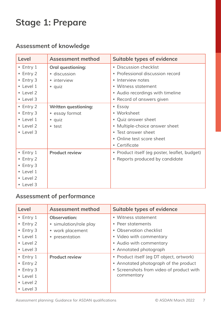# **Stage 1: Prepare**

## **Assessment of knowledge**

| Level                | <b>Assessment method</b>    | <b>Suitable types of evidence</b>             |
|----------------------|-----------------------------|-----------------------------------------------|
| $\bullet$ Entry 1    | <b>Oral questioning:</b>    | • Discussion checklist                        |
| $\bullet$ Entry 2    | · discussion                | Professional discussion record                |
| $\bullet$ Entry 3    | • interview                 | Interview notes<br>$\bullet$                  |
| $\bullet$ Level 1    | $\bullet$ quiz              | • Witness statement                           |
| • Level 2            |                             | • Audio recordings with timeline              |
| • Level 3            |                             | Record of answers given                       |
| $\bullet$ Entry 2    | <b>Written questioning:</b> | • Essay                                       |
| $\bullet$ Entry 3    | • essay format              | • Worksheet                                   |
| • Level 1            | $\bullet$ quiz              | • Quiz answer sheet                           |
| $\bullet$ Level 2    | • test                      | Multiple-choice answer sheet                  |
| $\bullet$ Level 3    |                             | • Test answer sheet                           |
|                      |                             | Online test score sheet                       |
|                      |                             | • Certificate                                 |
| $\bullet$ Entry 1    | <b>Product review</b>       | • Product itself (eg poster, leaflet, budget) |
| Entry 2<br>$\bullet$ |                             | • Reports produced by candidate               |
| $\bullet$ Entry 3    |                             |                                               |
| • Level 1            |                             |                                               |
| • Level 2            |                             |                                               |
| • Level 3            |                             |                                               |

## **Assessment of performance**

| Level             | <b>Assessment method</b> | <b>Suitable types of evidence</b>        |
|-------------------|--------------------------|------------------------------------------|
| $\bullet$ Entry 1 | <b>Observation:</b>      | • Witness statement                      |
| $\bullet$ Entry 2 | • simulation/role play   | • Peer statements                        |
| $\bullet$ Entry 3 | • work placement         | • Observation checklist                  |
| $\bullet$ Level 1 | • presentation           | • Video with commentary                  |
| $\bullet$ Level 2 |                          | • Audio with commentary                  |
| $\bullet$ Level 3 |                          | • Annotated photograph                   |
| $\bullet$ Entry 1 | <b>Product review</b>    | • Product itself (eg DT object, artwork) |
| $\bullet$ Entry 2 |                          | • Annotated photograph of the product    |
| $\bullet$ Entry 3 |                          | • Screenshots from video of product with |
| $\bullet$ Level 1 |                          | commentary                               |
| $\bullet$ Level 2 |                          |                                          |
| $\bullet$ Level 3 |                          |                                          |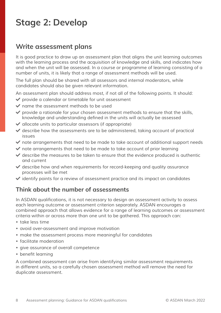## **Write assessment plans**

*It is good practice to draw up an assessment plan that aligns the unit learning outcomes*  with the learning process and the acquisition of knowledge and skills, and indicates how *and when the unit will be assessed. In a course or programme of learning consisting of a*  number of units, it is likely that a range of assessment methods will be used.

The full plan should be shared with all assessors and internal moderators, while *candidates should also be given relevant information.* 

An assessment plan should address most, if not all of the following points. It should:

- ◆ provide a calendar or timetable for unit assessment
- **◆** name the assessment methods to be used
- $\triangledown$  provide a rationale for your chosen assessment methods to ensure that the skills, knowledge and understanding defined in the units will actually be assessed
- $\vee$  allocate units to particular assessors (if appropriate)
- $\vee$  describe how the assessments are to be administered, taking account of practical *issues*
- $\blacktriangleright$  note arrangements that need to be made to take account of additional support needs
- $\blacktriangleright$  note arrangements that need to be made to take account of prior learning
- ◆ describe the measures to be taken to ensure that the evidence produced is authentic *and current*
- $\blacktriangleright$  describe how and when requirements for record-keeping and quality assurance *processes will be met*
- n *identify points for a review of assessment practice and its impact on candidates*

#### **Think about the number of assessments**

In ASDAN qualifications, it is not necessary to design an assessment activity to assess *each learning outcome or assessment criterion separately. ASDAN encourages a combined approach that allows evidence for a range of learning outcomes or assessment criteria within or across more than one unit to be gathered. This approach can:*

- *• take less time*
- *•* avoid over-assessment and improve motivation
- *• make the assessment process more meaningful for candidates*
- *• facilitate moderation*
- *• give assurance of overall competence*
- *•* benefit learning

*A combined assessment can arise from identifying similar assessment requirements*  in different units, so a carefully chosen assessment method will remove the need for *duplicate assessment.*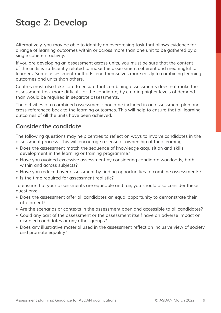Alternatively, you may be able to identify an overarching task that allows evidence for *a range of learning outcomes within or across more than one unit to be gathered by a single coherent activity.*

If you are developing an assessment across units, you must be sure that the content of the units is sufficiently related to make the assessment coherent and meaningful to *learners. Some assessment methods lend themselves more easily to combining learning outcomes and units than others.*

*Centres must also take care to ensure that combining assessments does not make the*  assessment task more difficult for the candidate, by creating higher levels of demand *than would be required in separate assessments.*

*The activities of a combined assessment should be included in an assessment plan and*  cross-referenced back to the learning outcomes. This will help to ensure that all learning *outcomes of all the units have been achieved.*

#### **Consider the candidate**

The following questions may help centres to reflect on ways to involve candidates in the *assessment process. This will encourage a sense of ownership of their learning.*

- *• Does the assessment match the sequence of knowledge acquisition and skills development in the learning or training programme?*
- *•* Have you avoided excessive assessment by considering candidate workloads, both *within and across subjects?*
- *•* Have you reduced over-assessment by finding opportunities to combine assessments?
- *• Is the time required for assessment realistic?*

To ensure that your assessments are equitable and fair, you should also consider these *questions:*

- *• Does the assessment offer all candidates an equal opportunity to demonstrate their attainment?*
- *• Are the scenarios or contexts in the assessment open and accessible to all candidates?*
- *• Could any part of the assessment or the assessment itself have an adverse impact on disabled candidates or any other groups?*
- *•* Does any illustrative material used in the assessment reflect an inclusive view of society *and promote equality?*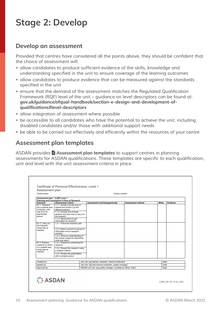#### **Develop an assessment**

Provided that centres have considered all the points above, they should be confident that *the choice of assessment will:* 

- *•* allow candidates to produce sufficient evidence of the skills, knowledge and understanding specified in the unit to ensure coverage of the learning outcomes
- *• allow candidates to produce evidence that can be measured against the standards*  specified in the unit
- *•* ensure that the demand of the assessment matches the Regulated Qualification Framework (RQF) level of the unit – guidance on level descriptors can be found at: **gov.uk/guidance/ofqual-handbook/section-e-design-and-development-ofqualifications#level-descriptors**
- *• allow integration of assessment where possible*
- *•* be accessible to all candidates who have the potential to achieve the unit, including *disabled candidates and/or those with additional support needs*
- *•* be able to be carried out effectively and efficiently within the resources of your centre

#### **Assessment plan templates**

ASDAN provides **E** Assessment plan templates to support centres in planning assessments for ASDAN qualifications. These templates are specific to each qualification, *unit and level with the unit assessment criteria in place.* 

| Centre name:                    | Assessment plan                                                      | Centre number:                                                |                                                         |      |          |  |
|---------------------------------|----------------------------------------------------------------------|---------------------------------------------------------------|---------------------------------------------------------|------|----------|--|
|                                 |                                                                      |                                                               |                                                         |      |          |  |
| Assessment plan - CoPE Level 1  |                                                                      |                                                               |                                                         |      |          |  |
| Outcome:                        | Planning and Carrying Out a Piece of Research<br>Assessment criteria | Assessment activity/opportunity                               | <b>Assessment method</b>                                | When | Evidence |  |
| R <sub>1.1</sub> Research       | 1.1.1 Identify a broad area of                                       |                                                               |                                                         |      |          |  |
| into a special area             | interest and divide it up into                                       |                                                               |                                                         |      |          |  |
| of interest, with               | different sections                                                   |                                                               |                                                         |      |          |  |
| help from an                    | 1.1.2 Choose one of these                                            |                                                               |                                                         |      |          |  |
| appropriate                     | sections and plan how to carry out                                   |                                                               |                                                         |      |          |  |
| person                          | the research                                                         |                                                               |                                                         |      |          |  |
|                                 | 1.1.3 Agree where to get                                             |                                                               |                                                         |      |          |  |
|                                 | information for research                                             |                                                               |                                                         |      |          |  |
| R1.2 Carry out<br>the research. | 1.2.1 Follow the research plan                                       |                                                               |                                                         |      |          |  |
| using help as                   |                                                                      |                                                               |                                                         |      |          |  |
| required                        | 1.2.2 Keep a record of sources of                                    |                                                               |                                                         |      |          |  |
|                                 | information and of research                                          |                                                               |                                                         |      |          |  |
|                                 | activities                                                           |                                                               |                                                         |      |          |  |
|                                 | 1.2.3 Show an understanding of<br>the chosen subject by describing   |                                                               |                                                         |      |          |  |
|                                 | what was learnt                                                      |                                                               |                                                         |      |          |  |
| R1.3 Present                    | 1.3.1 Prepare for presenting the                                     |                                                               |                                                         |      |          |  |
| research to others              | research                                                             |                                                               |                                                         |      |          |  |
| in a suitable way,              | 1.3.2 Present the research using                                     |                                                               |                                                         |      |          |  |
| using help as                   | a suitable method                                                    |                                                               |                                                         |      |          |  |
| required                        |                                                                      |                                                               |                                                         |      |          |  |
|                                 | 1.3.3 Review the presentation<br>with a suitable person              |                                                               |                                                         |      |          |  |
|                                 |                                                                      |                                                               |                                                         |      |          |  |
|                                 |                                                                      | Job role: (eg teacher, assessor, internal moderator)          |                                                         |      | Date:    |  |
|                                 |                                                                      |                                                               | Job role: (eg lead internal moderator, quality manager) |      | Date:    |  |
| Created by:                     |                                                                      | ASDAN Job role: (eg quality manager, compliance officer, EQA) |                                                         |      | Date:    |  |
| Agreed by:<br>Approved by:      |                                                                      |                                                               |                                                         |      |          |  |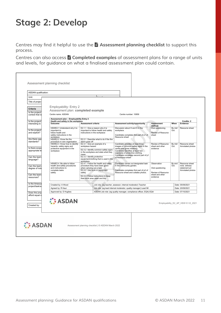Centres may find it helpful to use the **i** Assessment planning checklist to support this *process.*

Centres can also access **■ Completed examples** of assessment plans for a range of units and levels, for guidance on what a finalised assessment plan could contain.

| ASDAN qualification:                           |                                                                                                              |                                                                                                                                    |                                                                                                          |                                                                                                                                                     |                                                       |                |                                                                      |
|------------------------------------------------|--------------------------------------------------------------------------------------------------------------|------------------------------------------------------------------------------------------------------------------------------------|----------------------------------------------------------------------------------------------------------|-----------------------------------------------------------------------------------------------------------------------------------------------------|-------------------------------------------------------|----------------|----------------------------------------------------------------------|
| Unit:                                          |                                                                                                              |                                                                                                                                    |                                                                                                          |                                                                                                                                                     |                                                       |                |                                                                      |
| Title of projec                                |                                                                                                              |                                                                                                                                    |                                                                                                          |                                                                                                                                                     |                                                       |                |                                                                      |
| Criteria                                       | Employability: Entry 2                                                                                       |                                                                                                                                    |                                                                                                          |                                                                                                                                                     |                                                       |                |                                                                      |
| Is the project/                                | Assessment plan: completed example                                                                           |                                                                                                                                    |                                                                                                          |                                                                                                                                                     |                                                       |                |                                                                      |
| context that is                                | Centre name: ASDAN                                                                                           |                                                                                                                                    |                                                                                                          | Centre number: 10856                                                                                                                                |                                                       |                |                                                                      |
|                                                | Assessment plan - Employability Entry 2                                                                      |                                                                                                                                    |                                                                                                          |                                                                                                                                                     |                                                       |                |                                                                      |
| Is the project/<br>interesting to              | Health and safety in the workplace<br>Outcome:                                                               | <b>Assessment criteria</b>                                                                                                         |                                                                                                          | Assessment activity/opportunity                                                                                                                     | <b>Assessment</b><br>method                           | When           | Credits: 2<br>Evidence                                               |
| Is the project/<br>and explicit?               | HSWE2.1 Understand why it is<br>important to<br>follow health and<br>safety instructions in the<br>workplace |                                                                                                                                    | E2.1.1 Give a reason why it is<br>important to follow health and safety<br>instructions in the workplace | Discussion about H and S in the<br>workplace.<br>Candidate completes first part of p1 of<br>Resource sheet                                          | Oral questioning<br>Review of Resource<br>sheet       | By mid<br>Oct. | Resource sheet                                                       |
| Are there opp<br>standards?                    | HSWE2.2 Know the fire                                                                                        | alarm goes off                                                                                                                     | E2.2.1 Describe what to do if the fire                                                                   |                                                                                                                                                     |                                                       |                |                                                                      |
|                                                | procedure in own organisation<br>HSWE2.3 Know how to identify<br>hazards, safety signs and                   | workplace hazard                                                                                                                   | E2.3.1 Give an example of a                                                                              | Candidate provides at least three<br>images of common safety signs in the                                                                           | Review of Resource<br>sheet and other                 | By mid<br>Oct. | Resource sheet<br>Annotated photos                                   |
| Is there scope<br>appropriate le               | protective equipment in the<br>workplace                                                                     |                                                                                                                                    | E2.3.2 Identify common safety signs<br>in the workplace and state what they                              | centre and gives meaning.<br>Candidate identifies at least two<br>examples of protective clothing.                                                  | evidence                                              |                |                                                                      |
| Can the learn<br>language?                     |                                                                                                              | mean<br>E2.3.3 Identify protective<br>workplace                                                                                    | equipment/clothing that is used in the                                                                   | Candidate completes second part of p1<br>of Resource sheet                                                                                          |                                                       |                |                                                                      |
| Can the learn<br>degree of ind                 | HSWE2.4 Be able to follow<br>health and safety procedures<br>and instructions to<br>complete tasks<br>safely | E2.4.1 Follow the health and safety<br>procedure they have been given<br>when carrying out a task<br>E2.4.2 Use tools or equipment |                                                                                                          | Candidate carries out designated task<br>in the community garden.<br>Candidate completes first part of p2 of<br>Resource sheet and collates photos. | Observation<br>Oral questioning<br>Review of Resource | By end<br>Oct. | Resource sheet<br>incls. witness<br>statement p2<br>Annotated photos |
| Can the learn<br>resources?                    |                                                                                                              | safely                                                                                                                             | E2.4.3 Follow instructions to keep<br>their work area clean and tidy                                     |                                                                                                                                                     | sheet and other<br>evidence                           |                |                                                                      |
| Is the timescal                                |                                                                                                              |                                                                                                                                    |                                                                                                          |                                                                                                                                                     |                                                       |                |                                                                      |
| project/task/a                                 | Created by: A Wood                                                                                           |                                                                                                                                    |                                                                                                          | Job role: (eq teacher, assessor, internal moderator) Teacher                                                                                        |                                                       |                | Date: 05/09/2021                                                     |
|                                                | Agreed by: R Kaur<br>Approved by: D Hughes                                                                   |                                                                                                                                    |                                                                                                          | Job role: (eg lead internal moderator, quality manager) Lead IM<br>ASDAN Job role: (eg quality manager, compliance officer, EQA) EQA                |                                                       |                | Date: 20/09/2021<br>Date: 07/10/2021                                 |
| Does the proj<br>afford equal o<br>Created by: | <b>ASDAN</b>                                                                                                 |                                                                                                                                    |                                                                                                          |                                                                                                                                                     |                                                       |                | Employability_E2_AP_HSW © V2_2021                                    |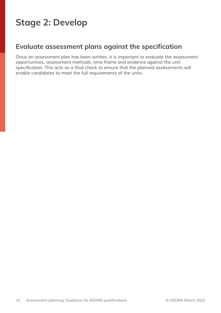## **Evaluate assessment plans against the specification**

Once an assessment plan has been written, it is important to evaluate the assessment opportunities, assessment methods, time frame and evidence against the unit specification. This acts as a final check to ensure that the planned assessments will *enable candidates to meet the full requirements of the units.*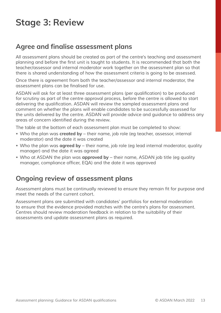# **Stage 3: Review**

## **Agree and finalise assessment plans**

*All assessment plans should be created as part of the centre's teaching and assessment*  planning and before the first unit is taught to students. It is recommended that both the *teacher/assessor and internal moderator work together on the assessment plan so that there is shared understanding of how the assessment criteria is going to be assessed.*

Once there is agreement from both the teacher/assessor and internal moderator, the assessment plans can be finalised for use.

ASDAN will ask for at least three assessment plans (per qualification) to be produced for scrutiny as part of the centre approval process, before the centre is allowed to start delivering the qualification. ASDAN will review the sampled assessment plans and *comment on whether the plans will enable candidates to be successfully assessed for the units delivered by the centre. ASDAN will provide advice and guidance to address any*  areas of concern identified during the review.

*The table at the bottom of each assessment plan must be completed to show:*

- *• Who the plan was* **created by** their name, job role (eg teacher, assessor, internal moderator) and the date it was created
- *• Who the plan was* **agreed by** their name, job role (eg lead internal moderator, quality manager) and the date it was agreed
- *• Who at ASDAN the plan was* **approved by** their name, ASDAN job title (eg quality manager, compliance officer, EQA) and the date it was approved

## **Ongoing review of assessment plans**

Assessment plans must be continually reviewed to ensure they remain fit for purpose and *meet the needs of the current cohort.*

*Assessment plans are submitted with candidates' portfolios for external moderation to ensure that the evidence provided matches with the centre's plans for assessment. Centres should review moderation feedback in relation to the suitability of their assessments and update assessment plans as required.*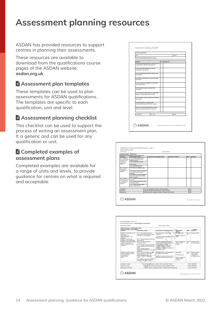## **Assessment planning resources**

*ASDAN has provided resources to support centres in planning their assessments.* 

*These resources are available to*  download from the qualifications course *pages of the ASDAN website:*  **asdan.org.uk** 

#### **E** Assessment plan templates

*These templates can be used to plan*  assessments for ASDAN qualifications. The templates are specific to each qualification, unit and level.

#### **E** Assessment planning checklist

*This checklist can be used to support the process of writing an assessment plan. It is generic and can be used for any*  qualification or unit.

#### **E** Completed examples of **assessment plans**

*Completed examples are available for*  a range of units and levels, to provide *guidance for centres on what is required and acceptable.*



| Centre name:                   |                                                                  | Centre number:                                       |                                                               |                         |       |  |
|--------------------------------|------------------------------------------------------------------|------------------------------------------------------|---------------------------------------------------------------|-------------------------|-------|--|
| Assessment plan - CoPE Level 1 |                                                                  |                                                      |                                                               |                         |       |  |
|                                | Planning and Carrying Out a Piece of Research                    |                                                      |                                                               |                         |       |  |
| Outcome:                       | <b>Assessment criteria</b>                                       | Assessment activity/opportunity                      | <b>Assessment method</b>                                      | When<br><b>Fyidence</b> |       |  |
| R11 Research                   | 1.1.1 Identify a broad area of                                   |                                                      |                                                               |                         |       |  |
|                                | into a special area interest and divide it up into               |                                                      |                                                               |                         |       |  |
| of interest with               | different sections                                               |                                                      |                                                               |                         |       |  |
| help from an                   | 112 Choose one of these                                          |                                                      |                                                               |                         |       |  |
| appropriate                    | sections and plan how to carry out                               |                                                      |                                                               |                         |       |  |
| person                         | the research                                                     |                                                      |                                                               |                         |       |  |
|                                | 1.1.3 Agree where to get<br>information for research             |                                                      |                                                               |                         |       |  |
| R1.2 Carry out                 | 1.2.1 Follow the research plan                                   |                                                      |                                                               |                         |       |  |
| the research.                  |                                                                  |                                                      |                                                               |                         |       |  |
| using help as                  |                                                                  |                                                      |                                                               |                         |       |  |
| required                       | 1.2.2 Keep a record of sources of<br>information and of research |                                                      |                                                               |                         |       |  |
|                                | activities                                                       |                                                      |                                                               |                         |       |  |
|                                | 1.2.3 Show an understanding of                                   |                                                      |                                                               |                         |       |  |
|                                | the chosen subject by describing                                 |                                                      |                                                               |                         |       |  |
|                                | what was learnt                                                  |                                                      |                                                               |                         |       |  |
| R13 Present                    | 1.3.1 Prepare for presenting the                                 |                                                      |                                                               |                         |       |  |
| research to others             | research                                                         |                                                      |                                                               |                         |       |  |
| in a suitable way.             | 1.3.2 Present the research using                                 |                                                      |                                                               |                         |       |  |
| using help as                  | a suitable method                                                |                                                      |                                                               |                         |       |  |
| required                       | 1.3.3 Review the presentation                                    |                                                      |                                                               |                         |       |  |
|                                | with a suitable person                                           |                                                      |                                                               |                         |       |  |
|                                |                                                                  |                                                      |                                                               |                         |       |  |
| Created by:                    |                                                                  | Job role: (eg teacher, assessor, internal moderator) |                                                               | Date:                   |       |  |
|                                |                                                                  |                                                      | Job role: (eq lead internal moderator, quality manager)       |                         | Date: |  |
|                                |                                                                  |                                                      | ASDAN Job role: (eq quality manager, compliance officer, EQA) |                         | Date: |  |
| Agreed by:<br>Approved by:     |                                                                  |                                                      |                                                               |                         |       |  |

| Credits: 2<br><b>Evidence</b><br>Resource sheet<br>Resource sheet   |  |
|---------------------------------------------------------------------|--|
|                                                                     |  |
|                                                                     |  |
|                                                                     |  |
|                                                                     |  |
| Annotated photos                                                    |  |
| Resource sheet<br>incls witness<br>statement p2<br>Annotated photos |  |
| Date: 05/09/2021                                                    |  |
| Date: 20/09/2021                                                    |  |
| Date: 07/10/2021                                                    |  |
| Employability E2 AP HSW @ V2 2021                                   |  |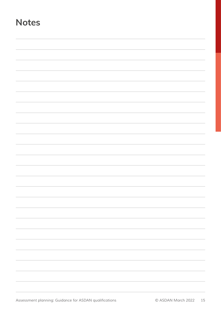## **Notes**